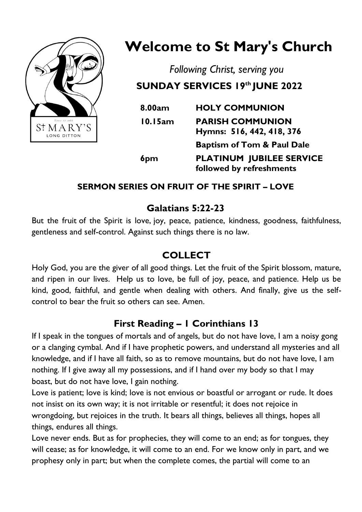

# **Welcome to St Mary's Church**

*Following Christ, serving you* **SUNDAY SERVICES 19th JUNE 2022** 

| 8.00am          | <b>HOLY COMMUNION</b>                                       |
|-----------------|-------------------------------------------------------------|
| 10.15am         | <b>PARISH COMMUNION</b><br>Hymns: 516, 442, 418, 376        |
|                 | <b>Baptism of Tom &amp; Paul Dale</b>                       |
| 6 <sub>pm</sub> | <b>PLATINUM JUBILEE SERVICE</b><br>followed by refreshments |

#### **SERMON SERIES ON FRUIT OF THE SPIRIT – LOVE**

### **Galatians 5:22-23**

But the fruit of the Spirit is love, joy, peace, patience, kindness, goodness, faithfulness, gentleness and self-control. Against such things there is no law.

# **COLLECT**

Holy God, you are the giver of all good things. Let the fruit of the Spirit blossom, mature, and ripen in our lives. Help us to love, be full of joy, peace, and patience. Help us be kind, good, faithful, and gentle when dealing with others. And finally, give us the selfcontrol to bear the fruit so others can see. Amen.

# **First Reading – 1 Corinthians 13**

If I speak in the tongues of mortals and of angels, but do not have love, I am a noisy gong or a clanging cymbal. And if I have prophetic powers, and understand all mysteries and all knowledge, and if I have all faith, so as to remove mountains, but do not have love, I am nothing. If I give away all my possessions, and if I hand over my body so that I may boast, but do not have love, I gain nothing.

Love is patient; love is kind; love is not envious or boastful or arrogant or rude. It does not insist on its own way; it is not irritable or resentful; it does not rejoice in wrongdoing, but rejoices in the truth. It bears all things, believes all things, hopes all things, endures all things.

Love never ends. But as for prophecies, they will come to an end; as for tongues, they will cease; as for knowledge, it will come to an end. For we know only in part, and we prophesy only in part; but when the complete comes, the partial will come to an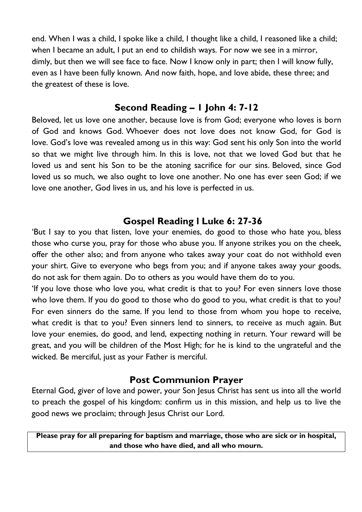end. When I was a child, I spoke like a child, I thought like a child, I reasoned like a child; when I became an adult, I put an end to childish ways. For now we see in a mirror, dimly, but then we will see face to face. Now I know only in part; then I will know fully, even as I have been fully known. And now faith, hope, and love abide, these three; and the greatest of these is love.

#### **Second Reading – 1 John 4: 7-12**

Beloved, let us love one another, because love is from God; everyone who loves is born of God and knows God. Whoever does not love does not know God, for God is love. God's love was revealed among us in this way: God sent his only Son into the world so that we might live through him. In this is love, not that we loved God but that he loved us and sent his Son to be the atoning sacrifice for our sins. Beloved, since God loved us so much, we also ought to love one another. No one has ever seen God; if we love one another, God lives in us, and his love is perfected in us.

#### **Gospel Reading l Luke 6: 27-36**

'But I say to you that listen, love your enemies, do good to those who hate you, bless those who curse you, pray for those who abuse you. If anyone strikes you on the cheek, offer the other also; and from anyone who takes away your coat do not withhold even your shirt. Give to everyone who begs from you; and if anyone takes away your goods, do not ask for them again. Do to others as you would have them do to you.

'If you love those who love you, what credit is that to you? For even sinners love those who love them. If you do good to those who do good to you, what credit is that to you? For even sinners do the same. If you lend to those from whom you hope to receive, what credit is that to you? Even sinners lend to sinners, to receive as much again. But love your enemies, do good, and lend, expecting nothing in return. Your reward will be great, and you will be children of the Most High; for he is kind to the ungrateful and the wicked. Be merciful, just as your Father is merciful.

#### **Post Communion Prayer**

Eternal God, giver of love and power, your Son Jesus Christ has sent us into all the world to preach the gospel of his kingdom: confirm us in this mission, and help us to live the good news we proclaim; through Jesus Christ our Lord.

**Please pray for all preparing for baptism and marriage, those who are sick or in hospital, and those who have died, and all who mourn.**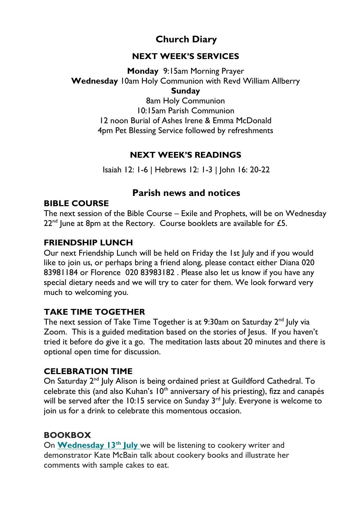# **Church Diary**

#### **NEXT WEEK'S SERVICES**

**Monday** 9:15am Morning Prayer **Wednesday** 10am Holy Communion with Revd William Allberry **Sunday**  8am Holy Communion

10:15am Parish Communion 12 noon Burial of Ashes Irene & Emma McDonald 4pm Pet Blessing Service followed by refreshments

#### **NEXT WEEK'S READINGS**

Isaiah 12: 1-6 | Hebrews 12: 1-3 | John 16: 20-22

#### **Parish news and notices**

#### **BIBLE COURSE**

The next session of the Bible Course – Exile and Prophets, will be on Wednesday  $22<sup>nd</sup>$  June at 8pm at the Rectory. Course booklets are available for £5.

#### **FRIENDSHIP LUNCH**

Our next Friendship Lunch will be held on Friday the 1st July and if you would like to join us, or perhaps bring a friend along, please contact either Diana 020 83981184 or Florence 020 83983182 . Please also let us know if you have any special dietary needs and we will try to cater for them. We look forward very much to welcoming you.

#### **TAKE TIME TOGETHER**

The next session of Take Time Together is at  $9:30$ am on Saturday  $2^{nd}$  July via Zoom. This is a guided meditation based on the stories of Jesus. If you haven't tried it before do give it a go. The meditation lasts about 20 minutes and there is optional open time for discussion.

#### **CELEBRATION TIME**

On Saturday 2<sup>nd</sup> July Alison is being ordained priest at Guildford Cathedral. To celebrate this (and also Kuhan's  $10<sup>th</sup>$  anniversary of his priesting), fizz and canapés will be served after the 10:15 service on Sunday  $3<sup>rd</sup>$  July. Everyone is welcome to join us for a drink to celebrate this momentous occasion.

#### **BOOKBOX**

On **[Wednesday 13](https://stmaryslongditton.us8.list-manage.com/track/click?u=ef69c0e76376fb9d3af47cc1e&id=e0cb38cde4&e=b2a01018f9)th Jul[y](https://stmaryslongditton.us8.list-manage.com/track/click?u=ef69c0e76376fb9d3af47cc1e&id=e0cb38cde4&e=b2a01018f9)** we will be listening to cookery writer and demonstrator Kate McBain talk about cookery books and illustrate her comments with sample cakes to eat.